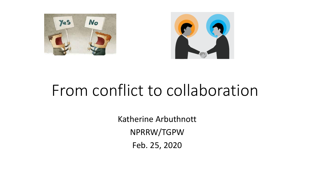



# From conflict to collaboration

Katherine Arbuthnott NPRRW/TGPW Feb. 25, 2020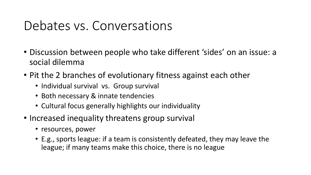#### Debates vs. Conversations

- Discussion between people who take different 'sides' on an issue: a social dilemma
- Pit the 2 branches of evolutionary fitness against each other
	- Individual survival vs. Group survival
	- Both necessary & innate tendencies
	- Cultural focus generally highlights our individuality
- Increased inequality threatens group survival
	- resources, power
	- E.g., sports league: if a team is consistently defeated, they may leave the league; if many teams make this choice, there is no league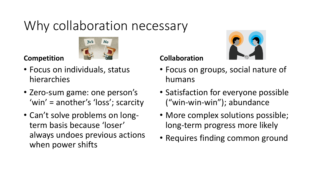## Why collaboration necessary



#### **Competition**

- Focus on individuals, status hierarchies
- Zero-sum game: one person's 'win' = another's 'loss'; scarcity
- Can't solve problems on longterm basis because 'loser' always undoes previous actions when power shifts

#### **Collaboration**



- Focus on groups, social nature of humans
- Satisfaction for everyone possible ("win-win-win"); abundance
- More complex solutions possible; long-term progress more likely
- Requires finding common ground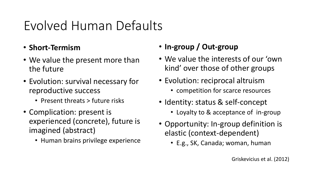### Evolved Human Defaults

- **Short-Termism**
- We value the present more than the future
- Evolution: survival necessary for reproductive success
	- Present threats > future risks
- Complication: present is experienced (concrete), future is imagined (abstract)
	- Human brains privilege experience

#### • **In-group / Out-group**

- We value the interests of our 'own kind' over those of other groups
- Evolution: reciprocal altruism
	- competition for scarce resources
- Identity: status & self-concept
	- Loyalty to & acceptance of in-group
- Opportunity: In-group definition is elastic (context-dependent)
	- E.g., SK, Canada; woman, human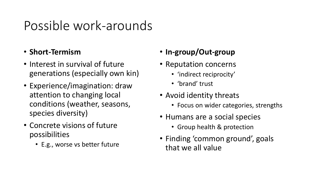#### Possible work-arounds

#### • **Short-Termism**

- Interest in survival of future generations (especially own kin)
- Experience/imagination: draw attention to changing local conditions (weather, seasons, species diversity)
- Concrete visions of future possibilities
	- E.g., worse vs better future
- **In-group/Out-group**
- Reputation concerns
	- 'indirect reciprocity'
	- 'brand' trust
- Avoid identity threats
	- Focus on wider categories, strengths
- Humans are a social species
	- Group health & protection
- Finding 'common ground', goals that we all value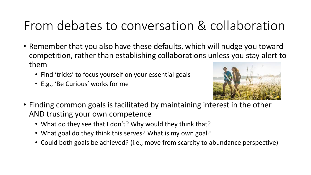### From debates to conversation & collaboration

- Remember that you also have these defaults, which will nudge you toward competition, rather than establishing collaborations unless you stay alert to them
	- Find 'tricks' to focus yourself on your essential goals
	- E.g., 'Be Curious' works for me



- Finding common goals is facilitated by maintaining interest in the other AND trusting your own competence
	- What do they see that I don't? Why would they think that?
	- What goal do they think this serves? What is my own goal?
	- Could both goals be achieved? (i.e., move from scarcity to abundance perspective)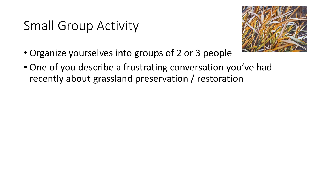### Small Group Activity



- Organize yourselves into groups of 2 or 3 people
- One of you describe a frustrating conversation you've had recently about grassland preservation / restoration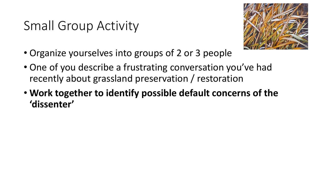### Small Group Activity



- Organize yourselves into groups of 2 or 3 people
- One of you describe a frustrating conversation you've had recently about grassland preservation / restoration
- **Work together to identify possible default concerns of the 'dissenter'**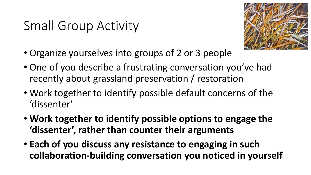### Small Group Activity



- Organize yourselves into groups of 2 or 3 people
- One of you describe a frustrating conversation you've had recently about grassland preservation / restoration
- Work together to identify possible default concerns of the 'dissenter'
- **Work together to identify possible options to engage the 'dissenter', rather than counter their arguments**
- **Each of you discuss any resistance to engaging in such collaboration-building conversation you noticed in yourself**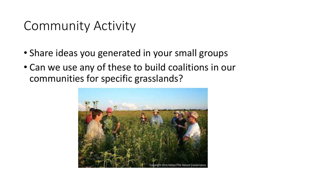#### Community Activity

- Share ideas you generated in your small groups
- Can we use any of these to build coalitions in our communities for specific grasslands?